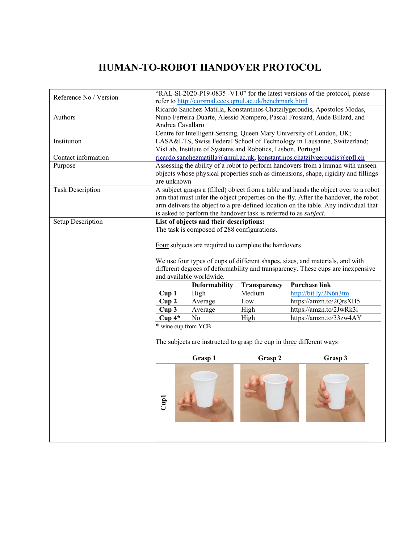## **HUMAN-TO-ROBOT HANDOVER PROTOCOL**

| Reference No / Version  |                                                                                                                                                                                                                                                                                                                                                | refer to http://corsmal.eecs.qmul.ac.uk/benchmark.html                   |              | "RAL-SI-2020-P19-0835 -V1.0" for the latest versions of the protocol, please                                                                                                                                                                                       |
|-------------------------|------------------------------------------------------------------------------------------------------------------------------------------------------------------------------------------------------------------------------------------------------------------------------------------------------------------------------------------------|--------------------------------------------------------------------------|--------------|--------------------------------------------------------------------------------------------------------------------------------------------------------------------------------------------------------------------------------------------------------------------|
| Authors                 | Ricardo Sanchez-Matilla, Konstantinos Chatzilygeroudis, Apostolos Modas,<br>Nuno Ferreira Duarte, Alessio Xompero, Pascal Frossard, Aude Billard, and<br>Andrea Cavallaro                                                                                                                                                                      |                                                                          |              |                                                                                                                                                                                                                                                                    |
| Institution             | Centre for Intelligent Sensing, Queen Mary University of London, UK;<br>LASA&LTS, Swiss Federal School of Technology in Lausanne, Switzerland;<br>VisLab, Institute of Systems and Robotics, Lisbon, Portugal                                                                                                                                  |                                                                          |              |                                                                                                                                                                                                                                                                    |
| Contact information     | ricardo.sanchezmatilla@qmul.ac.uk, konstantinos.chatzilygeroudis@epfl.ch                                                                                                                                                                                                                                                                       |                                                                          |              |                                                                                                                                                                                                                                                                    |
| Purpose                 | are unknown                                                                                                                                                                                                                                                                                                                                    |                                                                          |              | Assessing the ability of a robot to perform handovers from a human with unseen<br>objects whose physical properties such as dimensions, shape, rigidity and fillings                                                                                               |
| <b>Task Description</b> |                                                                                                                                                                                                                                                                                                                                                | is asked to perform the handover task is referred to as <i>subject</i> . |              | A subject grasps a (filled) object from a table and hands the object over to a robot<br>arm that must infer the object properties on-the-fly. After the handover, the robot<br>arm delivers the object to a pre-defined location on the table. Any individual that |
| Setup Description       | List of objects and their descriptions:<br>The task is composed of 288 configurations.<br>Four subjects are required to complete the handovers<br>We use four types of cups of different shapes, sizes, and materials, and with<br>different degrees of deformability and transparency. These cups are inexpensive<br>and available worldwide. |                                                                          |              |                                                                                                                                                                                                                                                                    |
|                         |                                                                                                                                                                                                                                                                                                                                                | <b>Deformability</b>                                                     | Transparency | <b>Purchase link</b>                                                                                                                                                                                                                                               |
|                         | Cup1                                                                                                                                                                                                                                                                                                                                           | High                                                                     | Medium       | http://bit.ly/2N6n3tm                                                                                                                                                                                                                                              |
|                         | Cup2                                                                                                                                                                                                                                                                                                                                           | Average                                                                  | Low          | https://amzn.to/2QrsXH5                                                                                                                                                                                                                                            |
|                         | Cup <sub>3</sub>                                                                                                                                                                                                                                                                                                                               | Average                                                                  | High         | https://amzn.to/2JwRk31                                                                                                                                                                                                                                            |
|                         | $Cup 4*$                                                                                                                                                                                                                                                                                                                                       | No                                                                       | High         | https://amzn.to/33zw4AY                                                                                                                                                                                                                                            |
|                         | * wine cup from YCB<br>The subjects are instructed to grasp the cup in three different ways                                                                                                                                                                                                                                                    |                                                                          |              |                                                                                                                                                                                                                                                                    |
|                         |                                                                                                                                                                                                                                                                                                                                                | Grasp 1                                                                  | Grasp 2      | Grasp 3                                                                                                                                                                                                                                                            |
|                         | Cup1                                                                                                                                                                                                                                                                                                                                           |                                                                          |              |                                                                                                                                                                                                                                                                    |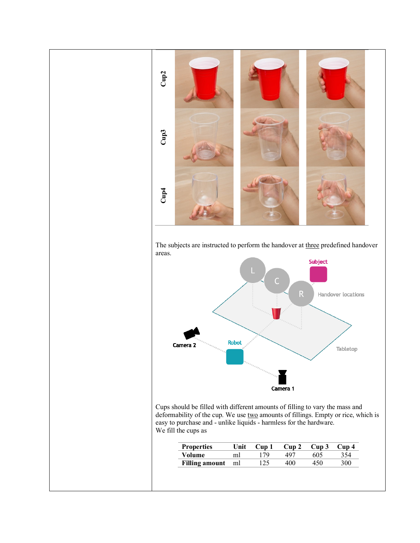

The subjects are instructed to perform the handover at three predefined handover areas.



Cups should be filled with different amounts of filling to vary the mass and deformability of the cup. We use two amounts of fillings. Empty or rice, which is easy to purchase and - unlike liquids - harmless for the hardware. We fill the cups as

| <b>Properties</b> | Unit | Cup 1 | Cup 2 $Cup$ 3 |     | Cup <sub>4</sub> |
|-------------------|------|-------|---------------|-----|------------------|
| Volume            | ml   | 70    | 497           | 605 | -54              |
| Filling amount ml |      |       | 400           |     | 300              |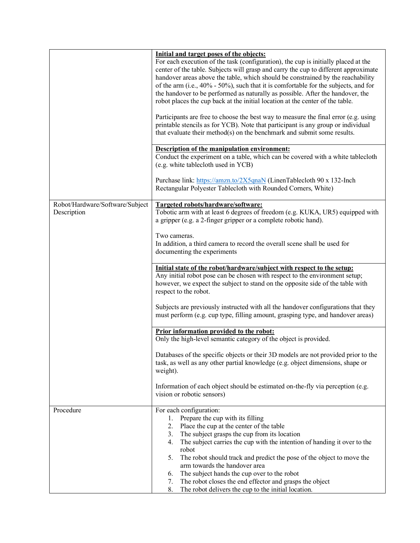|                                                | Initial and target poses of the objects:<br>For each execution of the task (configuration), the cup is initially placed at the<br>center of the table. Subjects will grasp and carry the cup to different approximate<br>handover areas above the table, which should be constrained by the reachability<br>of the arm (i.e., 40% - 50%), such that it is comfortable for the subjects, and for<br>the handover to be performed as naturally as possible. After the handover, the<br>robot places the cup back at the initial location at the center of the table.<br>Participants are free to choose the best way to measure the final error (e.g. using<br>printable stencils as for YCB). Note that participant is any group or individual<br>that evaluate their method(s) on the benchmark and submit some results. |  |  |  |
|------------------------------------------------|--------------------------------------------------------------------------------------------------------------------------------------------------------------------------------------------------------------------------------------------------------------------------------------------------------------------------------------------------------------------------------------------------------------------------------------------------------------------------------------------------------------------------------------------------------------------------------------------------------------------------------------------------------------------------------------------------------------------------------------------------------------------------------------------------------------------------|--|--|--|
|                                                | Description of the manipulation environment:<br>Conduct the experiment on a table, which can be covered with a white tablecloth<br>(e.g. white tablecloth used in YCB)<br>Purchase link: https://amzn.to/2X5qnaN (LinenTablecloth 90 x 132-Inch                                                                                                                                                                                                                                                                                                                                                                                                                                                                                                                                                                          |  |  |  |
|                                                | Rectangular Polyester Tablecloth with Rounded Corners, White)                                                                                                                                                                                                                                                                                                                                                                                                                                                                                                                                                                                                                                                                                                                                                            |  |  |  |
| Robot/Hardware/Software/Subject<br>Description | Targeted robots/hardware/software:<br>Tobotic arm with at least 6 degrees of freedom (e.g. KUKA, UR5) equipped with<br>a gripper (e.g. a 2-finger gripper or a complete robotic hand).<br>Two cameras.<br>In addition, a third camera to record the overall scene shall be used for<br>documenting the experiments                                                                                                                                                                                                                                                                                                                                                                                                                                                                                                       |  |  |  |
|                                                |                                                                                                                                                                                                                                                                                                                                                                                                                                                                                                                                                                                                                                                                                                                                                                                                                          |  |  |  |
|                                                | Initial state of the robot/hardware/subject with respect to the setup:<br>Any initial robot pose can be chosen with respect to the environment setup;<br>however, we expect the subject to stand on the opposite side of the table with<br>respect to the robot.                                                                                                                                                                                                                                                                                                                                                                                                                                                                                                                                                         |  |  |  |
|                                                | Subjects are previously instructed with all the handover configurations that they<br>must perform (e.g. cup type, filling amount, grasping type, and handover areas)                                                                                                                                                                                                                                                                                                                                                                                                                                                                                                                                                                                                                                                     |  |  |  |
|                                                | Prior information provided to the robot:<br>Only the high-level semantic category of the object is provided.                                                                                                                                                                                                                                                                                                                                                                                                                                                                                                                                                                                                                                                                                                             |  |  |  |
|                                                | Databases of the specific objects or their 3D models are not provided prior to the<br>task, as well as any other partial knowledge (e.g. object dimensions, shape or<br>weight).                                                                                                                                                                                                                                                                                                                                                                                                                                                                                                                                                                                                                                         |  |  |  |
|                                                | Information of each object should be estimated on-the-fly via perception (e.g.<br>vision or robotic sensors)                                                                                                                                                                                                                                                                                                                                                                                                                                                                                                                                                                                                                                                                                                             |  |  |  |
| Procedure                                      | For each configuration:<br>Prepare the cup with its filling<br>1.<br>Place the cup at the center of the table<br>2.<br>3. The subject grasps the cup from its location<br>The subject carries the cup with the intention of handing it over to the<br>4.<br>robot<br>5.<br>The robot should track and predict the pose of the object to move the<br>arm towards the handover area<br>The subject hands the cup over to the robot<br>6.<br>The robot closes the end effector and grasps the object<br>7.<br>8.<br>The robot delivers the cup to the initial location.                                                                                                                                                                                                                                                     |  |  |  |